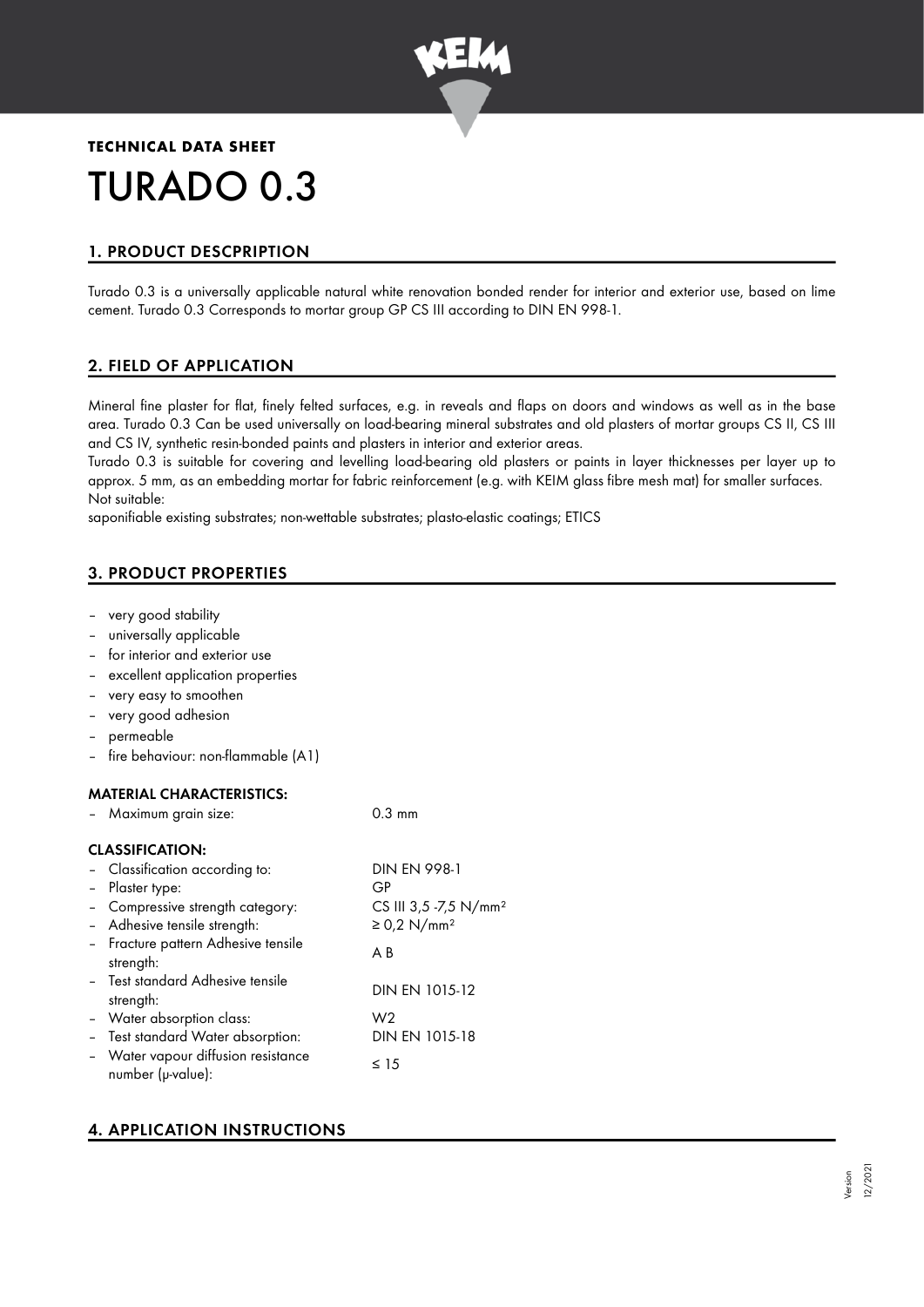

# **TECHNICAL DATA SHEET** TURADO 0.3

## 1. PRODUCT DESCPRIPTION

Turado 0.3 is a universally applicable natural white renovation bonded render for interior and exterior use, based on lime cement. Turado 0.3 Corresponds to mortar group GP CS III according to DIN EN 998-1.

## 2. FIELD OF APPLICATION

Mineral fine plaster for flat, finely felted surfaces, e.g. in reveals and flaps on doors and windows as well as in the base area. Turado 0.3 Can be used universally on load-bearing mineral substrates and old plasters of mortar groups CS II, CS III and CS IV, synthetic resin-bonded paints and plasters in interior and exterior areas.

Turado 0.3 is suitable for covering and levelling load-bearing old plasters or paints in layer thicknesses per layer up to approx. 5 mm, as an embedding mortar for fabric reinforcement (e.g. with KEIM glass fibre mesh mat) for smaller surfaces. Not suitable:

saponifiable existing substrates; non-wettable substrates; plasto-elastic coatings; ETICS

## 3. PRODUCT PROPERTIES

- very good stability
- universally applicable
- for interior and exterior use
- excellent application properties
- very easy to smoothen
- very good adhesion
- permeable
- fire behaviour: non-flammable (A1)

## MATERIAL CHARACTERISTICS:

| Maximum grain size:                                      | $0.3 \text{ mm}$                  |
|----------------------------------------------------------|-----------------------------------|
| <b>CLASSIFICATION:</b>                                   |                                   |
| - Classification according to:                           | <b>DIN EN 998-1</b>               |
| - Plaster type:                                          | GP                                |
| - Compressive strength category:                         | CS III 3,5 -7,5 N/mm <sup>2</sup> |
| - Adhesive tensile strength:                             | $\geq$ 0,2 N/mm <sup>2</sup>      |
| - Fracture pattern Adhesive tensile<br>strength:         | A B                               |
| - Test standard Adhesive tensile<br>strength:            | DIN EN 1015-12                    |
| - Water absorption class:                                | W <sub>2</sub>                    |
| - Test standard Water absorption:                        | DIN EN 1015-18                    |
| - Water vapour diffusion resistance<br>number (µ-value): | $\leq 15$                         |

## 4. APPLICATION INSTRUCTIONS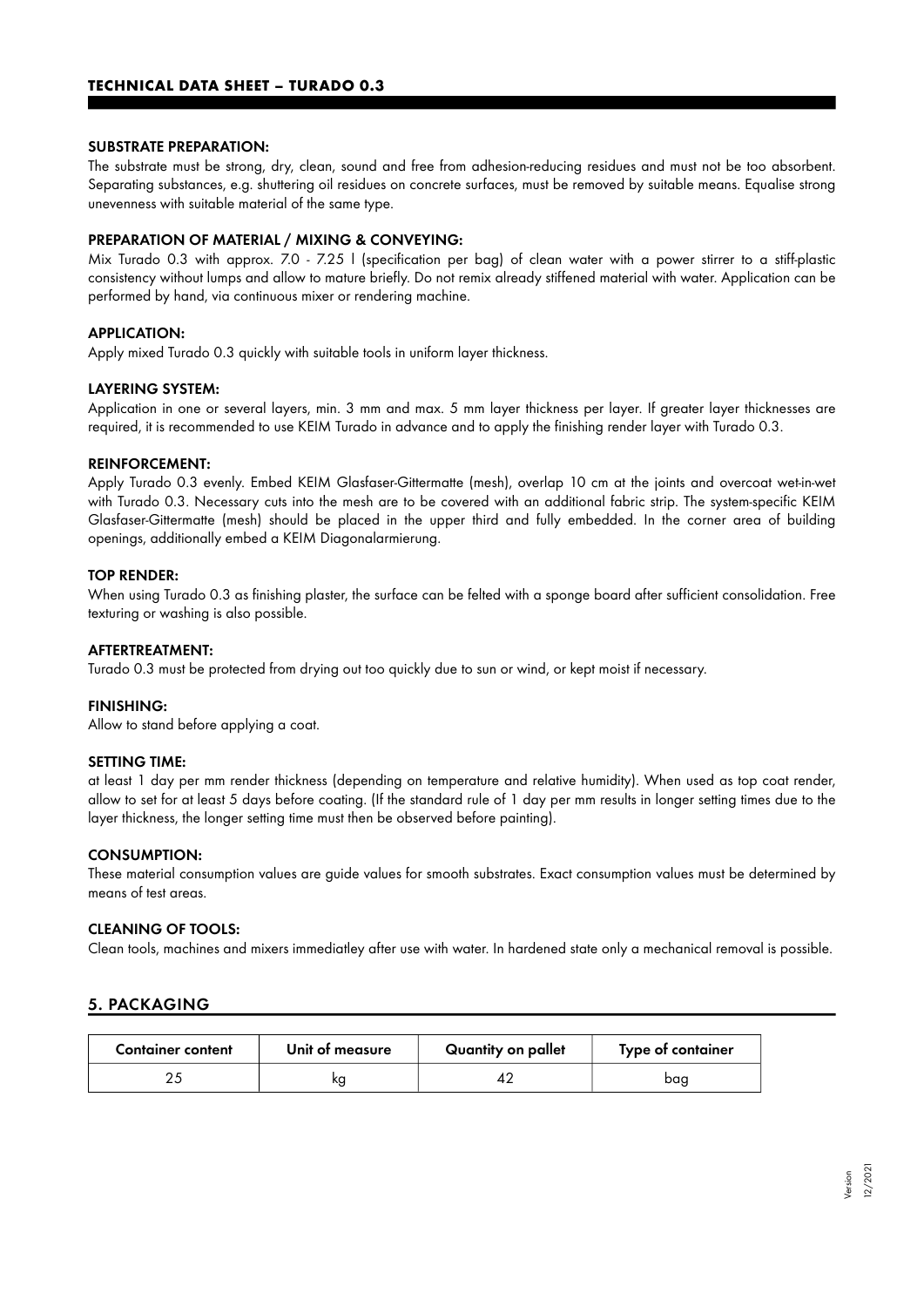#### SUBSTRATE PREPARATION:

The substrate must be strong, dry, clean, sound and free from adhesion-reducing residues and must not be too absorbent. Separating substances, e.g. shuttering oil residues on concrete surfaces, must be removed by suitable means. Equalise strong unevenness with suitable material of the same type.

#### PREPARATION OF MATERIAL / MIXING & CONVEYING:

Mix Turado 0.3 with approx. 7.0 - 7.25 l (specification per bag) of clean water with a power stirrer to a stiff-plastic consistency without lumps and allow to mature briefly. Do not remix already stiffened material with water. Application can be performed by hand, via continuous mixer or rendering machine.

#### APPLICATION:

Apply mixed Turado 0.3 quickly with suitable tools in uniform layer thickness.

#### LAYERING SYSTEM:

Application in one or several layers, min. 3 mm and max. 5 mm layer thickness per layer. If greater layer thicknesses are required, it is recommended to use KEIM Turado in advance and to apply the finishing render layer with Turado 0.3.

#### REINFORCEMENT:

Apply Turado 0.3 evenly. Embed KEIM Glasfaser-Gittermatte (mesh), overlap 10 cm at the joints and overcoat wet-in-wet with Turado 0.3. Necessary cuts into the mesh are to be covered with an additional fabric strip. The system-specific KEIM Glasfaser-Gittermatte (mesh) should be placed in the upper third and fully embedded. In the corner area of building openings, additionally embed a KEIM Diagonalarmierung.

#### TOP RENDER:

When using Turado 0.3 as finishing plaster, the surface can be felted with a sponge board after sufficient consolidation. Free texturing or washing is also possible.

#### AFTERTREATMENT:

Turado 0.3 must be protected from drying out too quickly due to sun or wind, or kept moist if necessary.

#### FINISHING:

Allow to stand before applying a coat.

#### SETTING TIME:

at least 1 day per mm render thickness (depending on temperature and relative humidity). When used as top coat render, allow to set for at least 5 days before coating. (If the standard rule of 1 day per mm results in longer setting times due to the layer thickness, the longer setting time must then be observed before painting).

#### CONSUMPTION:

These material consumption values are guide values for smooth substrates. Exact consumption values must be determined by means of test areas.

#### CLEANING OF TOOLS:

Clean tools, machines and mixers immediatley after use with water. In hardened state only a mechanical removal is possible.

## 5. PACKAGING

| <b>Container content</b> | Unit of measure | Quantity on pallet | Type of container |
|--------------------------|-----------------|--------------------|-------------------|
|                          | ĸg              |                    | bag               |